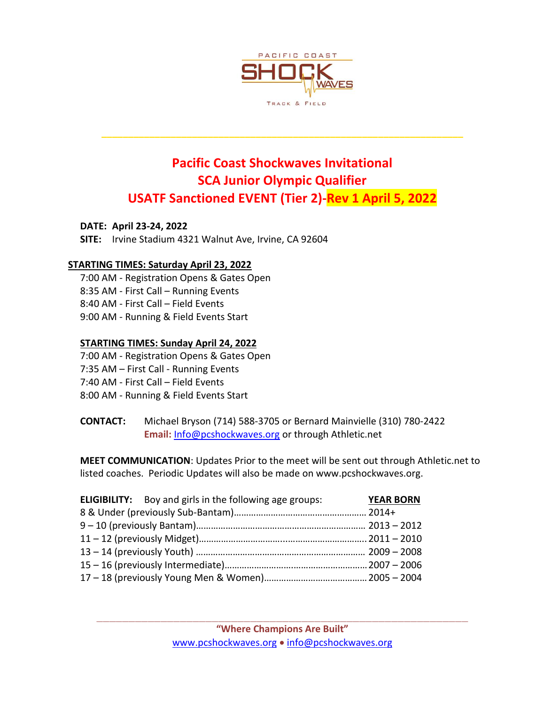

# **Pacific Coast Shockwaves Invitational SCA Junior Olympic Qualifier USATF Sanctioned EVENT (Tier 2)-Rev 1 April 5, 2022**

**\_\_\_\_\_\_\_\_\_\_\_\_\_\_\_\_\_\_\_\_\_\_\_\_\_\_\_\_\_\_\_\_\_\_\_\_\_\_\_\_\_\_\_\_\_\_\_\_\_\_\_\_\_\_\_\_\_\_\_\_\_\_\_\_\_\_\_\_**

**DATE: April 23-24, 2022**

**SITE:** Irvine Stadium 4321 Walnut Ave, Irvine, CA 92604

### **STARTING TIMES: Saturday April 23, 2022**

7:00 AM - Registration Opens & Gates Open 8:35 AM - First Call – Running Events 8:40 AM - First Call – Field Events 9:00 AM - Running & Field Events Start

### **STARTING TIMES: Sunday April 24, 2022**

- 7:00 AM Registration Opens & Gates Open
- 7:35 AM First Call Running Events
- 7:40 AM First Call Field Events
- 8:00 AM Running & Field Events Start
- **CONTACT:** Michael Bryson (714) 588-3705 or Bernard Mainvielle (310) 780-2422 **Email:** [Info@pcshockwaves.org](mailto:Info@pcshockwaves.org) or through Athletic.net

**MEET COMMUNICATION**: Updates Prior to the meet will be sent out through Athletic.net to listed coaches. Periodic Updates will also be made on www.pcshockwaves.org.

|  | <b>ELIGIBILITY:</b> Boy and girls in the following age groups: | <b>YEAR BORN</b> |  |  |
|--|----------------------------------------------------------------|------------------|--|--|
|  |                                                                |                  |  |  |
|  |                                                                |                  |  |  |
|  |                                                                |                  |  |  |
|  |                                                                |                  |  |  |
|  |                                                                |                  |  |  |
|  |                                                                |                  |  |  |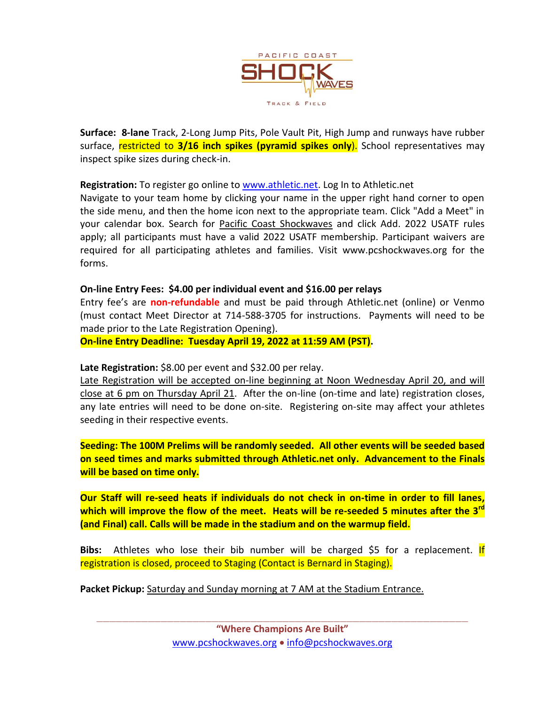

**Surface: 8-lane** Track, 2-Long Jump Pits, Pole Vault Pit, High Jump and runways have rubber surface, restricted to **3/16 inch spikes (pyramid spikes only**). School representatives may inspect spike sizes during check-in.

**Registration:** To register go online to [www.athletic.net.](http://www.athletic.net/) Log In to Athletic.net

Navigate to your team home by clicking your name in the upper right hand corner to open the side menu, and then the home icon next to the appropriate team. Click "Add a Meet" in your calendar box. Search for Pacific Coast Shockwaves and click Add. 2022 USATF rules apply; all participants must have a valid 2022 USATF membership. Participant waivers are required for all participating athletes and families. Visit www.pcshockwaves.org for the forms.

### **On-line Entry Fees: \$4.00 per individual event and \$16.00 per relays**

Entry fee's are **non-refundable** and must be paid through Athletic.net (online) or Venmo (must contact Meet Director at 714-588-3705 for instructions. Payments will need to be made prior to the Late Registration Opening).

**On-line Entry Deadline: Tuesday April 19, 2022 at 11:59 AM (PST).** 

Late Registration: \$8.00 per event and \$32.00 per relay.

Late Registration will be accepted on-line beginning at Noon Wednesday April 20, and will close at 6 pm on Thursday April 21. After the on-line (on-time and late) registration closes, any late entries will need to be done on-site. Registering on-site may affect your athletes seeding in their respective events.

**Seeding: The 100M Prelims will be randomly seeded. All other events will be seeded based on seed times and marks submitted through Athletic.net only. Advancement to the Finals will be based on time only.** 

**Our Staff will re-seed heats if individuals do not check in on-time in order to fill lanes, which will improve the flow of the meet. Heats will be re-seeded 5 minutes after the 3rd (and Final) call. Calls will be made in the stadium and on the warmup field.**

**Bibs:** Athletes who lose their bib number will be charged \$5 for a replacement. If registration is closed, proceed to Staging (Contact is Bernard in Staging).

**Packet Pickup:** Saturday and Sunday morning at 7 AM at the Stadium Entrance.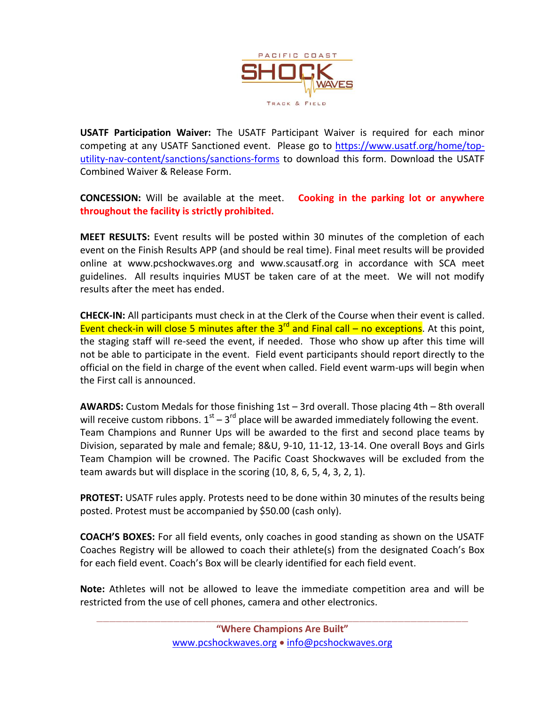

**USATF Participation Waiver:** The USATF Participant Waiver is required for each minor competing at any USATF Sanctioned event. Please go to [https://www.usatf.org/home/top](https://www.usatf.org/home/top-utility-nav-content/sanctions/sanctions-forms)[utility-nav-content/sanctions/sanctions-forms](https://www.usatf.org/home/top-utility-nav-content/sanctions/sanctions-forms) to download this form. Download the USATF Combined Waiver & Release Form.

**CONCESSION:** Will be available at the meet. **Cooking in the parking lot or anywhere throughout the facility is strictly prohibited.**

**MEET RESULTS:** Event results will be posted within 30 minutes of the completion of each event on the Finish Results APP (and should be real time). Final meet results will be provided online at www.pcshockwaves.org and www.scausatf.org in accordance with SCA meet guidelines. All results inquiries MUST be taken care of at the meet. We will not modify results after the meet has ended.

**CHECK-IN:** All participants must check in at the Clerk of the Course when their event is called. Event check-in will close 5 minutes after the  $3<sup>rd</sup>$  and Final call – no exceptions. At this point, the staging staff will re-seed the event, if needed. Those who show up after this time will not be able to participate in the event. Field event participants should report directly to the official on the field in charge of the event when called. Field event warm-ups will begin when the First call is announced.

**AWARDS:** Custom Medals for those finishing 1st – 3rd overall. Those placing 4th – 8th overall will receive custom ribbons.  $1<sup>st</sup> - 3<sup>rd</sup>$  place will be awarded immediately following the event. Team Champions and Runner Ups will be awarded to the first and second place teams by Division, separated by male and female; 8&U, 9-10, 11-12, 13-14. One overall Boys and Girls Team Champion will be crowned. The Pacific Coast Shockwaves will be excluded from the team awards but will displace in the scoring (10, 8, 6, 5, 4, 3, 2, 1).

**PROTEST:** USATF rules apply. Protests need to be done within 30 minutes of the results being posted. Protest must be accompanied by \$50.00 (cash only).

**COACH'S BOXES:** For all field events, only coaches in good standing as shown on the USATF Coaches Registry will be allowed to coach their athlete(s) from the designated Coach's Box for each field event. Coach's Box will be clearly identified for each field event.

**Note:** Athletes will not be allowed to leave the immediate competition area and will be restricted from the use of cell phones, camera and other electronics.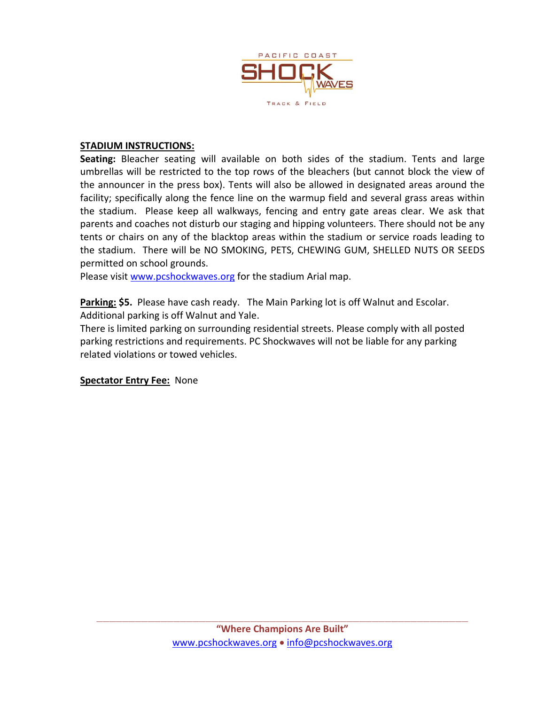

### **STADIUM INSTRUCTIONS:**

**Seating:** Bleacher seating will available on both sides of the stadium. Tents and large umbrellas will be restricted to the top rows of the bleachers (but cannot block the view of the announcer in the press box). Tents will also be allowed in designated areas around the facility; specifically along the fence line on the warmup field and several grass areas within the stadium. Please keep all walkways, fencing and entry gate areas clear. We ask that parents and coaches not disturb our staging and hipping volunteers. There should not be any tents or chairs on any of the blacktop areas within the stadium or service roads leading to the stadium. There will be NO SMOKING, PETS, CHEWING GUM, SHELLED NUTS OR SEEDS permitted on school grounds.

Please visit [www.pcshockwaves.org](http://www.pcshockwaves.org/) for the stadium Arial map.

**Parking: \$5.** Please have cash ready. The Main Parking lot is off Walnut and Escolar. Additional parking is off Walnut and Yale.

There is limited parking on surrounding residential streets. Please comply with all posted parking restrictions and requirements. PC Shockwaves will not be liable for any parking related violations or towed vehicles.

**Spectator Entry Fee:** None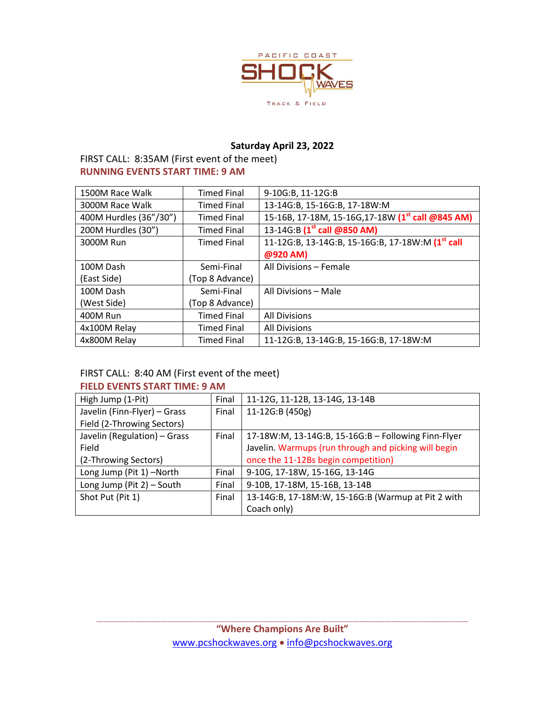

### **Saturday April 23, 2022**

FIRST CALL: 8:35AM (First event of the meet) **RUNNING EVENTS START TIME: 9 AM**

| 1500M Race Walk        | <b>Timed Final</b> | 9-10G:B, 11-12G:B                                             |
|------------------------|--------------------|---------------------------------------------------------------|
| 3000M Race Walk        | <b>Timed Final</b> | 13-14G:B, 15-16G:B, 17-18W:M                                  |
| 400M Hurdles (36"/30") | <b>Timed Final</b> | 15-16B, 17-18M, 15-16G, 17-18W (1 <sup>st</sup> call @845 AM) |
| 200M Hurdles (30")     | <b>Timed Final</b> | 13-14G:B (1 <sup>st</sup> call @850 AM)                       |
| 3000M Run              | <b>Timed Final</b> | 11-12G:B, 13-14G:B, 15-16G:B, 17-18W:M (1 <sup>st</sup> call  |
|                        |                    | @920 AM)                                                      |
| 100M Dash              | Semi-Final         | All Divisions - Female                                        |
| (East Side)            | (Top 8 Advance)    |                                                               |
| 100M Dash              | Semi-Final         | All Divisions - Male                                          |
| (West Side)            | (Top 8 Advance)    |                                                               |
| 400M Run               | <b>Timed Final</b> | <b>All Divisions</b>                                          |
| 4x100M Relay           | <b>Timed Final</b> | <b>All Divisions</b>                                          |
| 4x800M Relay           | <b>Timed Final</b> | 11-12G:B, 13-14G:B, 15-16G:B, 17-18W:M                        |

### FIRST CALL: 8:40 AM (First event of the meet)

### **FIELD EVENTS START TIME: 9 AM**

| High Jump (1-Pit)            | Final | 11-12G, 11-12B, 13-14G, 13-14B                       |
|------------------------------|-------|------------------------------------------------------|
| Javelin (Finn-Flyer) - Grass | Final | 11-12G:B (450g)                                      |
| Field (2-Throwing Sectors)   |       |                                                      |
| Javelin (Regulation) - Grass | Final | 17-18W:M, 13-14G:B, 15-16G:B - Following Finn-Flyer  |
| Field                        |       | Javelin. Warmups (run through and picking will begin |
| (2-Throwing Sectors)         |       | once the 11-12Bs begin competition)                  |
| Long Jump (Pit 1) -North     | Final | 9-10G, 17-18W, 15-16G, 13-14G                        |
| Long Jump (Pit 2) - South    | Final | 9-10B, 17-18M, 15-16B, 13-14B                        |
| Shot Put (Pit 1)             | Final | 13-14G:B, 17-18M:W, 15-16G:B (Warmup at Pit 2 with   |
|                              |       | Coach only)                                          |